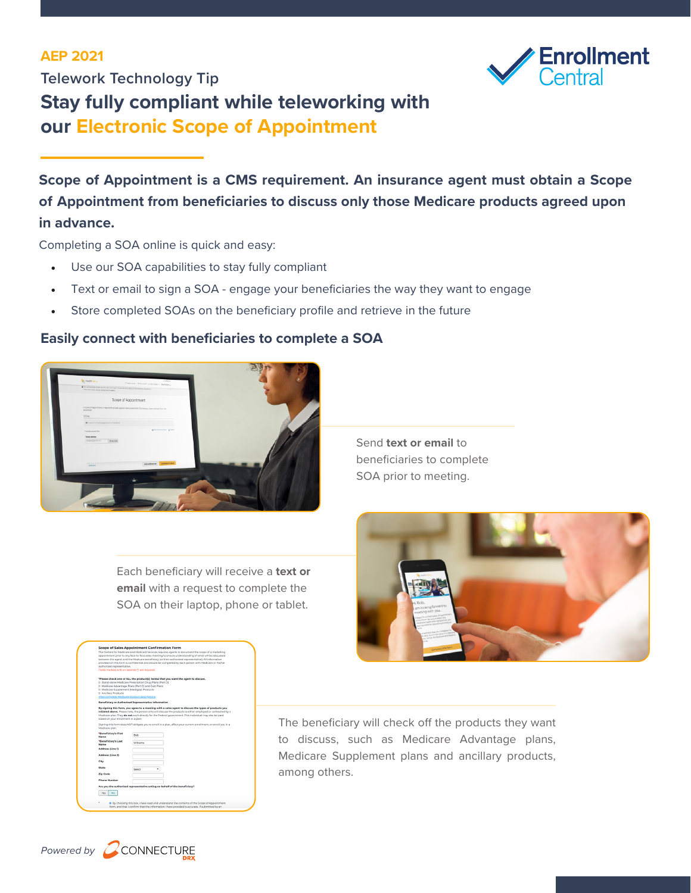## **AEP 2021**



**Telework Technology Tip Stay fully compliant while teleworking with our Electronic Scope of Appointment**

**Scope of Appointment is a CMS requirement. An insurance agent must obtain a Scope of Appointment from beneficiaries to discuss only those Medicare products agreed upon in advance.**

Completing a SOA online is quick and easy:

- Use our SOA capabilities to stay fully compliant
- Text or email to sign a SOA engage your beneficiaries the way they want to engage
- Store completed SOAs on the beneficiary profile and retrieve in the future

## **Easily connect with beneficiaries to complete a SOA**



Send **text or email** to beneficiaries to complete SOA prior to meeting.

Each beneficiary will receive a **text or email** with a request to complete the SOA on their laptop, phone or tablet.



| The beneficiary will check off the products they want |
|-------------------------------------------------------|
| to discuss, such as Medicare Advantage plans,         |
| Medicare Supplement plans and ancillary products,     |
| among others.                                         |



Ves No

ne of Sales Annointment Confirmation For